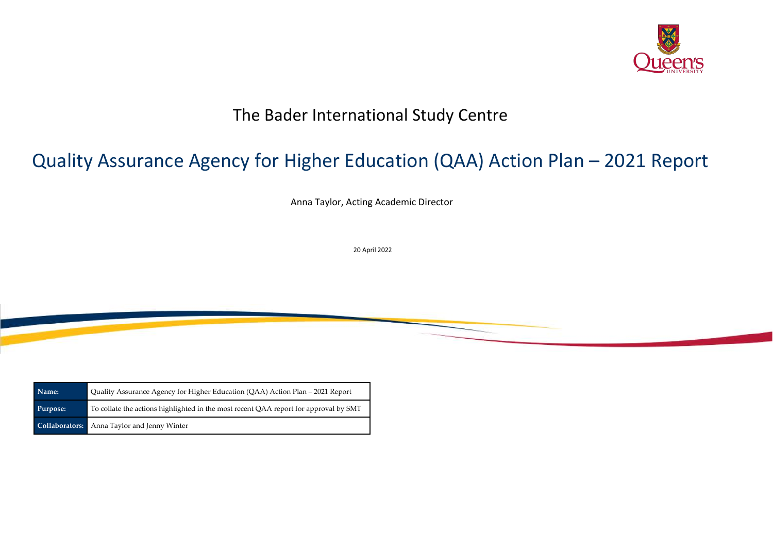## The Bader International Study Centre

# Quality Assurance Agency for Higher Education (QAA) Action Plan – 2021 Report

Anna Taylor, Acting Academic Director

20 April 2022



| Name:    | Quality Assurance Agency for Higher Education (QAA) Action Plan - 2021 Report        |
|----------|--------------------------------------------------------------------------------------|
| Purpose: | To collate the actions highlighted in the most recent QAA report for approval by SMT |
|          | <b>Collaborators:</b> Anna Taylor and Jenny Winter                                   |

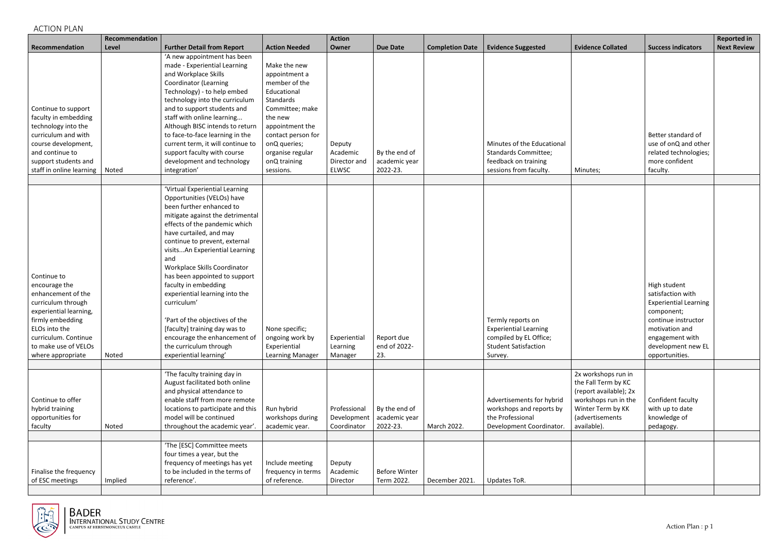## ACTION PLAN

|                                                                                                                                                                                                              | Recommendation |                                                                                                                                                                                                                                                                                                                                                                                                                                                                                                                                                                     |                                                                                                                                                                                                                    | <b>Action</b>                                      |                                            |                        |                                                                                                                       |                                                                                                                              |                                                                                                                                                                                     | <b>Reported in</b> |
|--------------------------------------------------------------------------------------------------------------------------------------------------------------------------------------------------------------|----------------|---------------------------------------------------------------------------------------------------------------------------------------------------------------------------------------------------------------------------------------------------------------------------------------------------------------------------------------------------------------------------------------------------------------------------------------------------------------------------------------------------------------------------------------------------------------------|--------------------------------------------------------------------------------------------------------------------------------------------------------------------------------------------------------------------|----------------------------------------------------|--------------------------------------------|------------------------|-----------------------------------------------------------------------------------------------------------------------|------------------------------------------------------------------------------------------------------------------------------|-------------------------------------------------------------------------------------------------------------------------------------------------------------------------------------|--------------------|
| Recommendation                                                                                                                                                                                               | Level          | <b>Further Detail from Report</b>                                                                                                                                                                                                                                                                                                                                                                                                                                                                                                                                   | <b>Action Needed</b>                                                                                                                                                                                               | Owner                                              | <b>Due Date</b>                            | <b>Completion Date</b> | <b>Evidence Suggested</b>                                                                                             | <b>Evidence Collated</b>                                                                                                     | <b>Success indicators</b>                                                                                                                                                           | <b>Next Review</b> |
| Continue to support<br>faculty in embedding<br>technology into the<br>curriculum and with<br>course development,<br>and continue to<br>support students and<br>staff in online learning                      | Noted          | 'A new appointment has been<br>made - Experiential Learning<br>and Workplace Skills<br><b>Coordinator (Learning</b><br>Technology) - to help embed<br>technology into the curriculum<br>and to support students and<br>staff with online learning<br>Although BISC intends to return<br>to face-to-face learning in the<br>current term, it will continue to<br>support faculty with course<br>development and technology<br>integration'                                                                                                                           | Make the new<br>appointment a<br>member of the<br>Educational<br>Standards<br>Committee; make<br>the new<br>appointment the<br>contact person for<br>onQ queries;<br>organise regular<br>onQ training<br>sessions. | Deputy<br>Academic<br>Director and<br><b>ELWSC</b> | By the end of<br>academic year<br>2022-23. |                        | Minutes of the Educational<br><b>Standards Committee;</b><br>feedback on training<br>sessions from faculty.           | Minutes;                                                                                                                     | Better standard of<br>use of onQ and other<br>related technologies;<br>more confident<br>faculty.                                                                                   |                    |
|                                                                                                                                                                                                              |                |                                                                                                                                                                                                                                                                                                                                                                                                                                                                                                                                                                     |                                                                                                                                                                                                                    |                                                    |                                            |                        |                                                                                                                       |                                                                                                                              |                                                                                                                                                                                     |                    |
| Continue to<br>encourage the<br>enhancement of the<br>curriculum through<br>experiential learning,<br>firmly embedding<br>ELOs into the<br>curriculum. Continue<br>to make use of VELOs<br>where appropriate | Noted          | 'Virtual Experiential Learning<br>Opportunities (VELOs) have<br>been further enhanced to<br>mitigate against the detrimental<br>effects of the pandemic which<br>have curtailed, and may<br>continue to prevent, external<br>visitsAn Experiential Learning<br>and<br>Workplace Skills Coordinator<br>has been appointed to support<br>faculty in embedding<br>experiential learning into the<br>curriculum'<br>'Part of the objectives of the<br>[faculty] training day was to<br>encourage the enhancement of<br>the curriculum through<br>experiential learning' | None specific;<br>ongoing work by<br>Experiential<br>Learning Manager                                                                                                                                              | Experiential<br>Learning<br>Manager                | Report due<br>end of 2022-<br>23.          |                        | Termly reports on<br><b>Experiential Learning</b><br>compiled by EL Office;<br><b>Student Satisfaction</b><br>Survey. |                                                                                                                              | High student<br>satisfaction with<br><b>Experiential Learning</b><br>component;<br>continue instructor<br>motivation and<br>engagement with<br>development new EL<br>opportunities. |                    |
|                                                                                                                                                                                                              |                | 'The faculty training day in                                                                                                                                                                                                                                                                                                                                                                                                                                                                                                                                        |                                                                                                                                                                                                                    |                                                    |                                            |                        |                                                                                                                       | 2x workshops run in                                                                                                          |                                                                                                                                                                                     |                    |
| Continue to offer<br>hybrid training<br>opportunities for<br>faculty                                                                                                                                         | Noted          | August facilitated both online<br>and physical attendance to<br>enable staff from more remote<br>locations to participate and this<br>model will be continued<br>throughout the academic year'                                                                                                                                                                                                                                                                                                                                                                      | Run hybrid<br>workshops during<br>academic year.                                                                                                                                                                   | Professional<br>Development<br>Coordinator         | By the end of<br>academic year<br>2022-23. | March 2022.            | Advertisements for hybrid<br>workshops and reports by<br>the Professional<br>Development Coordinator.                 | the Fall Term by KC<br>(report available); 2x<br>workshops run in the<br>Winter Term by KK<br>(advertisements<br>available). | Confident faculty<br>with up to date<br>knowledge of<br>pedagogy.                                                                                                                   |                    |
|                                                                                                                                                                                                              |                |                                                                                                                                                                                                                                                                                                                                                                                                                                                                                                                                                                     |                                                                                                                                                                                                                    |                                                    |                                            |                        |                                                                                                                       |                                                                                                                              |                                                                                                                                                                                     |                    |
| Finalise the frequency<br>of ESC meetings                                                                                                                                                                    | Implied        | 'The [ESC] Committee meets<br>four times a year, but the<br>frequency of meetings has yet<br>to be included in the terms of<br>reference'.                                                                                                                                                                                                                                                                                                                                                                                                                          | Include meeting<br>frequency in terms<br>of reference.                                                                                                                                                             | Deputy<br>Academic<br>Director                     | <b>Before Winter</b><br>Term 2022.         | December 2021.         | Updates ToR.                                                                                                          |                                                                                                                              |                                                                                                                                                                                     |                    |

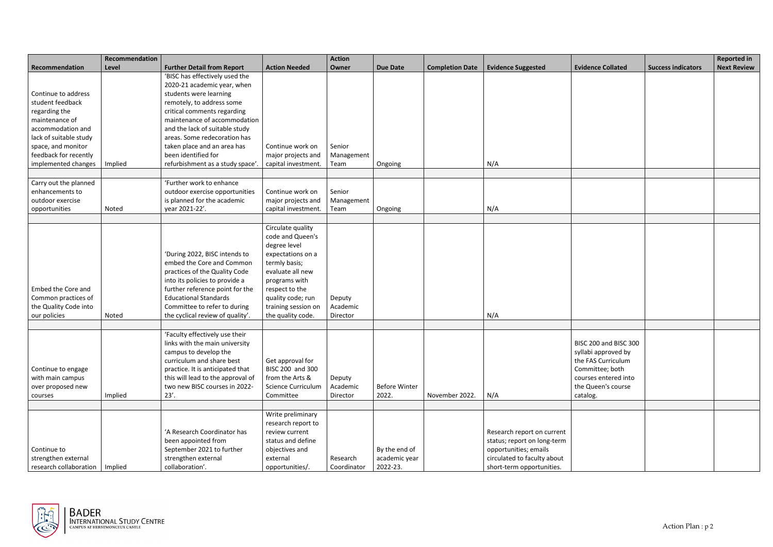|                                                                                                                                                                                                 | Recommendation |                                                                                                                                                                                                                                                                                                                                                 |                                                                                                                                                                                                                     | <b>Action</b>                  |                                            |                        |                                                                                                                                                |                                                                                                                                                 |                           | <b>Reported in</b> |
|-------------------------------------------------------------------------------------------------------------------------------------------------------------------------------------------------|----------------|-------------------------------------------------------------------------------------------------------------------------------------------------------------------------------------------------------------------------------------------------------------------------------------------------------------------------------------------------|---------------------------------------------------------------------------------------------------------------------------------------------------------------------------------------------------------------------|--------------------------------|--------------------------------------------|------------------------|------------------------------------------------------------------------------------------------------------------------------------------------|-------------------------------------------------------------------------------------------------------------------------------------------------|---------------------------|--------------------|
| Recommendation                                                                                                                                                                                  | Level          | <b>Further Detail from Report</b>                                                                                                                                                                                                                                                                                                               | <b>Action Needed</b>                                                                                                                                                                                                | Owner                          | <b>Due Date</b>                            | <b>Completion Date</b> | <b>Evidence Suggested</b>                                                                                                                      | <b>Evidence Collated</b>                                                                                                                        | <b>Success indicators</b> | <b>Next Review</b> |
| Continue to address<br>student feedback<br>regarding the<br>maintenance of<br>accommodation and<br>lack of suitable study<br>space, and monitor<br>feedback for recently<br>implemented changes | Implied        | 'BISC has effectively used the<br>2020-21 academic year, when<br>students were learning<br>remotely, to address some<br>critical comments regarding<br>maintenance of accommodation<br>and the lack of suitable study<br>areas. Some redecoration has<br>taken place and an area has<br>been identified for<br>refurbishment as a study space'. | Continue work on<br>major projects and<br>capital investment.                                                                                                                                                       | Senior<br>Management<br>Team   | Ongoing                                    |                        | N/A                                                                                                                                            |                                                                                                                                                 |                           |                    |
|                                                                                                                                                                                                 |                |                                                                                                                                                                                                                                                                                                                                                 |                                                                                                                                                                                                                     |                                |                                            |                        |                                                                                                                                                |                                                                                                                                                 |                           |                    |
| Carry out the planned<br>enhancements to<br>outdoor exercise<br>opportunities                                                                                                                   | Noted          | 'Further work to enhance<br>outdoor exercise opportunities<br>is planned for the academic<br>year 2021-22'.                                                                                                                                                                                                                                     | Continue work on<br>major projects and<br>capital investment.                                                                                                                                                       | Senior<br>Management<br>Team   | Ongoing                                    |                        | N/A                                                                                                                                            |                                                                                                                                                 |                           |                    |
|                                                                                                                                                                                                 |                |                                                                                                                                                                                                                                                                                                                                                 |                                                                                                                                                                                                                     |                                |                                            |                        |                                                                                                                                                |                                                                                                                                                 |                           |                    |
| Embed the Core and<br>Common practices of<br>the Quality Code into<br>our policies                                                                                                              | Noted          | 'During 2022, BISC intends to<br>embed the Core and Common<br>practices of the Quality Code<br>into its policies to provide a<br>further reference point for the<br><b>Educational Standards</b><br>Committee to refer to during<br>the cyclical review of quality'.                                                                            | Circulate quality<br>code and Queen's<br>degree level<br>expectations on a<br>termly basis;<br>evaluate all new<br>programs with<br>respect to the<br>quality code; run<br>training session on<br>the quality code. | Deputy<br>Academic<br>Director |                                            |                        | N/A                                                                                                                                            |                                                                                                                                                 |                           |                    |
|                                                                                                                                                                                                 |                |                                                                                                                                                                                                                                                                                                                                                 |                                                                                                                                                                                                                     |                                |                                            |                        |                                                                                                                                                |                                                                                                                                                 |                           |                    |
| Continue to engage<br>with main campus<br>over proposed new<br>courses                                                                                                                          | Implied        | 'Faculty effectively use their<br>links with the main university<br>campus to develop the<br>curriculum and share best<br>practice. It is anticipated that<br>this will lead to the approval of<br>two new BISC courses in 2022-<br>$23'$ .                                                                                                     | Get approval for<br>BISC 200 and 300<br>from the Arts &<br><b>Science Curriculum</b><br>Committee                                                                                                                   | Deputy<br>Academic<br>Director | <b>Before Winter</b><br>2022.              | November 2022.         | N/A                                                                                                                                            | BISC 200 and BISC 300<br>syllabi approved by<br>the FAS Curriculum<br>Committee; both<br>courses entered into<br>the Queen's course<br>catalog. |                           |                    |
|                                                                                                                                                                                                 |                |                                                                                                                                                                                                                                                                                                                                                 |                                                                                                                                                                                                                     |                                |                                            |                        |                                                                                                                                                |                                                                                                                                                 |                           |                    |
| Continue to<br>strengthen external<br>research collaboration   Implied                                                                                                                          |                | 'A Research Coordinator has<br>been appointed from<br>September 2021 to further<br>strengthen external<br>collaboration'.                                                                                                                                                                                                                       | Write preliminary<br>research report to<br>review current<br>status and define<br>objectives and<br>external<br>opportunities/.                                                                                     | Research<br>Coordinator        | By the end of<br>academic year<br>2022-23. |                        | Research report on current<br>status; report on long-term<br>opportunities; emails<br>circulated to faculty about<br>short-term opportunities. |                                                                                                                                                 |                           |                    |